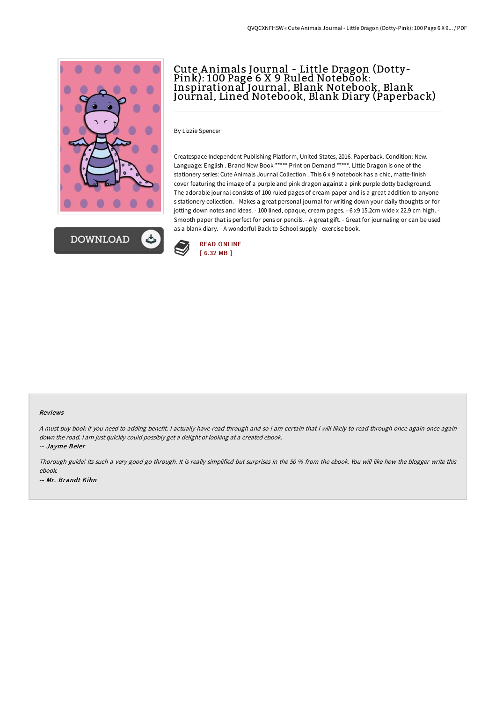



# Cute A nimals Journal - Little Dragon (Dotty-Pink): 100 Page 6 X 9 Ruled Notebook: Inspirational Journal, Blank Notebook, Blank Journal, Lined Notebook, Blank Diary (Paperback)

By Lizzie Spencer

Createspace Independent Publishing Platform, United States, 2016. Paperback. Condition: New. Language: English . Brand New Book \*\*\*\*\* Print on Demand \*\*\*\*\*. Little Dragon is one of the stationery series: Cute Animals Journal Collection . This 6 x 9 notebook has a chic, matte-finish cover featuring the image of a purple and pink dragon against a pink purple dotty background. The adorable journal consists of 100 ruled pages of cream paper and is a great addition to anyone s stationery collection. - Makes a great personal journal for writing down your daily thoughts or for jotting down notes and ideas. - 100 lined, opaque, cream pages. - 6 x9 15.2cm wide x 22.9 cm high. - Smooth paper that is perfect for pens or pencils. - A great gift. - Great for journaling or can be used as a blank diary. - A wonderful Back to School supply - exercise book.



#### Reviews

A must buy book if you need to adding benefit. I actually have read through and so i am certain that i will likely to read through once again once again down the road. <sup>I</sup> am just quickly could possibly get <sup>a</sup> delight of looking at <sup>a</sup> created ebook.

-- Jayme Beier

Thorough guide! Its such <sup>a</sup> very good go through. It is really simplified but surprises in the <sup>50</sup> % from the ebook. You will like how the blogger write this ebook. -- Mr. Brandt Kihn